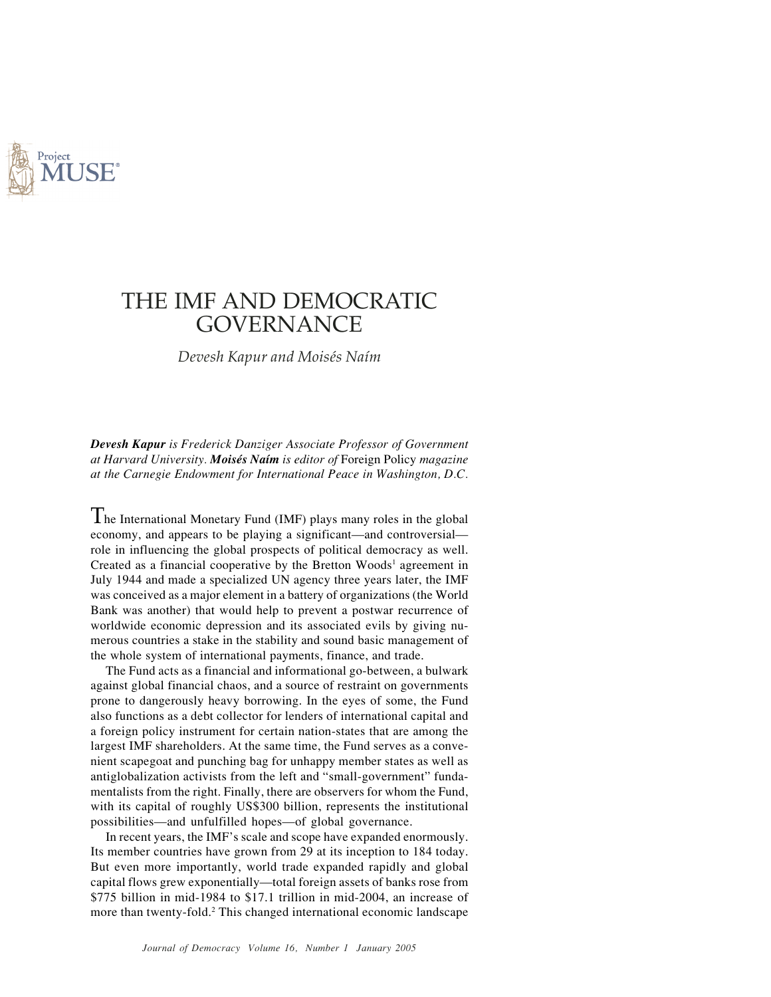

# THE IMF AND DEMOCRATIC **GOVERNANCE**

*Devesh Kapur and Moisés Naím*

*Devesh Kapur is Frederick Danziger Associate Professor of Government at Harvard University. Moisés Naím is editor of* Foreign Policy *magazine at the Carnegie Endowment for International Peace in Washington, D.C.*

The International Monetary Fund (IMF) plays many roles in the global economy, and appears to be playing a significant—and controversial role in influencing the global prospects of political democracy as well. Created as a financial cooperative by the Bretton Woods<sup>1</sup> agreement in July 1944 and made a specialized UN agency three years later, the IMF was conceived as a major element in a battery of organizations (the World Bank was another) that would help to prevent a postwar recurrence of worldwide economic depression and its associated evils by giving numerous countries a stake in the stability and sound basic management of the whole system of international payments, finance, and trade.

The Fund acts as a financial and informational go-between, a bulwark against global financial chaos, and a source of restraint on governments prone to dangerously heavy borrowing. In the eyes of some, the Fund also functions as a debt collector for lenders of international capital and a foreign policy instrument for certain nation-states that are among the largest IMF shareholders. At the same time, the Fund serves as a convenient scapegoat and punching bag for unhappy member states as well as antiglobalization activists from the left and "small-government" fundamentalists from the right. Finally, there are observers for whom the Fund, with its capital of roughly US\$300 billion, represents the institutional possibilities—and unfulfilled hopes—of global governance.

In recent years, the IMF's scale and scope have expanded enormously. Its member countries have grown from 29 at its inception to 184 today. But even more importantly, world trade expanded rapidly and global capital flows grew exponentially—total foreign assets of banks rose from \$775 billion in mid-1984 to \$17.1 trillion in mid-2004, an increase of more than twenty-fold.<sup>2</sup> This changed international economic landscape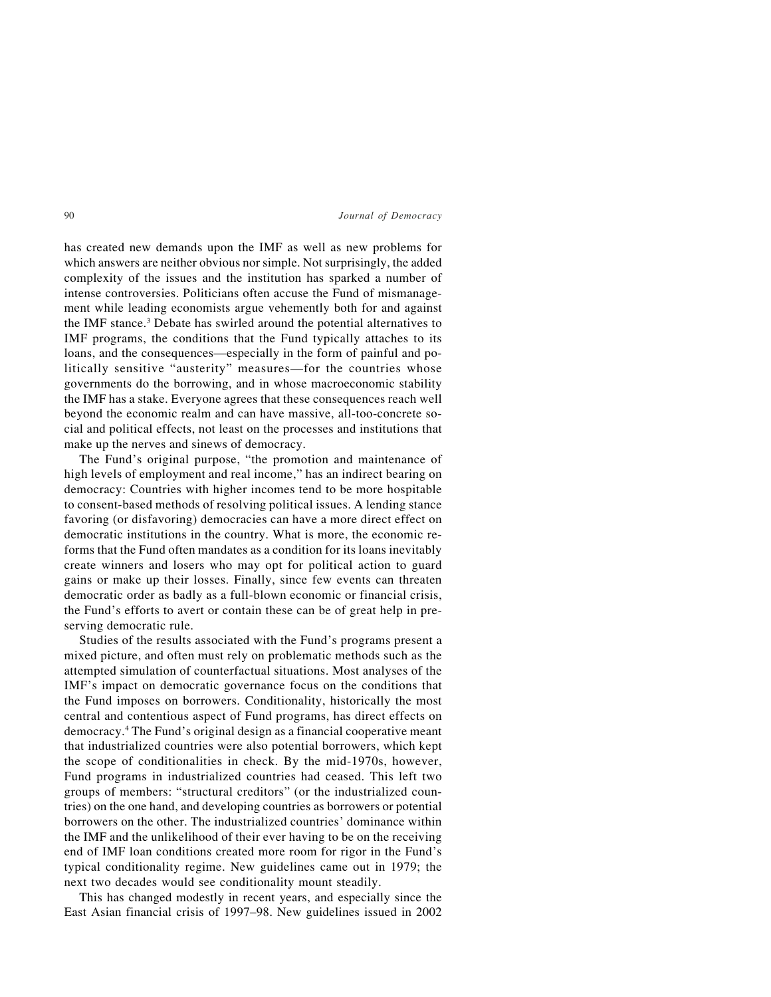has created new demands upon the IMF as well as new problems for which answers are neither obvious nor simple. Not surprisingly, the added complexity of the issues and the institution has sparked a number of intense controversies. Politicians often accuse the Fund of mismanagement while leading economists argue vehemently both for and against the IMF stance.<sup>3</sup> Debate has swirled around the potential alternatives to IMF programs, the conditions that the Fund typically attaches to its loans, and the consequences—especially in the form of painful and politically sensitive "austerity" measures—for the countries whose governments do the borrowing, and in whose macroeconomic stability the IMF has a stake. Everyone agrees that these consequences reach well beyond the economic realm and can have massive, all-too-concrete social and political effects, not least on the processes and institutions that make up the nerves and sinews of democracy.

The Fund's original purpose, "the promotion and maintenance of high levels of employment and real income," has an indirect bearing on democracy: Countries with higher incomes tend to be more hospitable to consent-based methods of resolving political issues. A lending stance favoring (or disfavoring) democracies can have a more direct effect on democratic institutions in the country. What is more, the economic reforms that the Fund often mandates as a condition for its loans inevitably create winners and losers who may opt for political action to guard gains or make up their losses. Finally, since few events can threaten democratic order as badly as a full-blown economic or financial crisis, the Fund's efforts to avert or contain these can be of great help in preserving democratic rule.

Studies of the results associated with the Fund's programs present a mixed picture, and often must rely on problematic methods such as the attempted simulation of counterfactual situations. Most analyses of the IMF's impact on democratic governance focus on the conditions that the Fund imposes on borrowers. Conditionality, historically the most central and contentious aspect of Fund programs, has direct effects on democracy.4 The Fund's original design as a financial cooperative meant that industrialized countries were also potential borrowers, which kept the scope of conditionalities in check. By the mid-1970s, however, Fund programs in industrialized countries had ceased. This left two groups of members: "structural creditors" (or the industrialized countries) on the one hand, and developing countries as borrowers or potential borrowers on the other. The industrialized countries' dominance within the IMF and the unlikelihood of their ever having to be on the receiving end of IMF loan conditions created more room for rigor in the Fund's typical conditionality regime. New guidelines came out in 1979; the next two decades would see conditionality mount steadily.

This has changed modestly in recent years, and especially since the East Asian financial crisis of 1997–98. New guidelines issued in 2002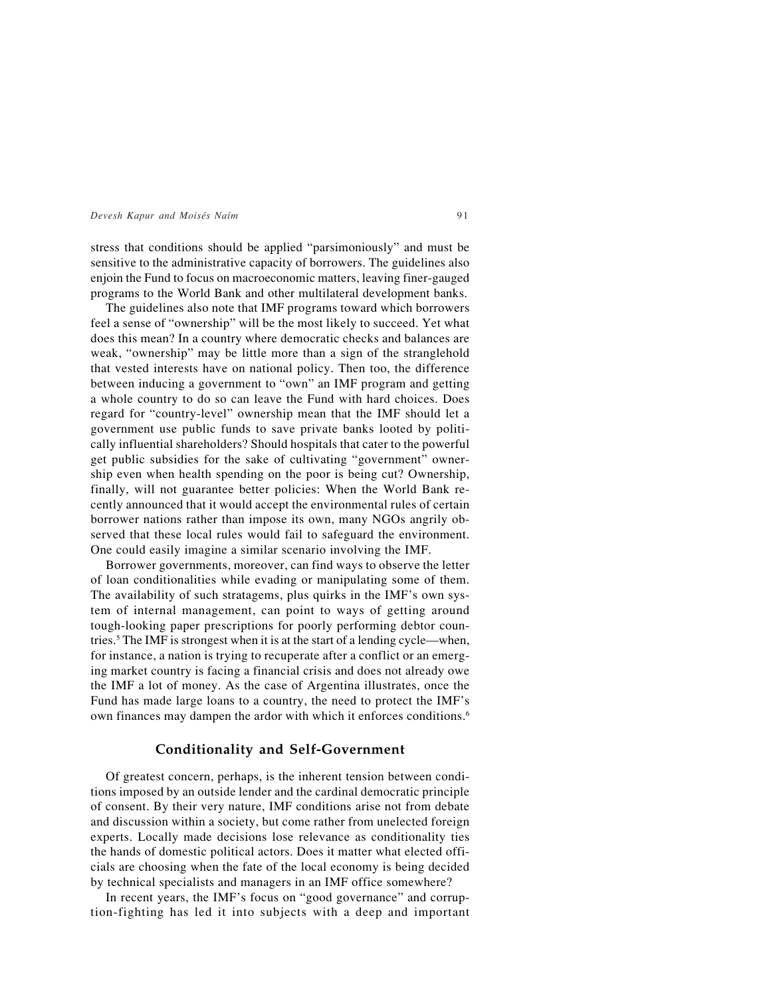stress that conditions should be applied "parsimoniously" and must be sensitive to the administrative capacity of borrowers. The guidelines also enjoin the Fund to focus on macroeconomic matters, leaving finer-gauged programs to the World Bank and other multilateral development banks.

The guidelines also note that IMF programs toward which borrowers feel a sense of "ownership" will be the most likely to succeed. Yet what does this mean? In a country where democratic checks and balances are weak, "ownership" may be little more than a sign of the stranglehold that vested interests have on national policy. Then too, the difference between inducing a government to "own" an IMF program and getting a whole country to do so can leave the Fund with hard choices. Does regard for "country-level" ownership mean that the IMF should let a government use public funds to save private banks looted by politically influential shareholders? Should hospitals that cater to the powerful get public subsidies for the sake of cultivating "government" ownership even when health spending on the poor is being cut? Ownership, finally, will not guarantee better policies: When the World Bank recently announced that it would accept the environmental rules of certain borrower nations rather than impose its own, many NGOs angrily observed that these local rules would fail to safeguard the environment. One could easily imagine a similar scenario involving the IMF.

Borrower governments, moreover, can find ways to observe the letter of loan conditionalities while evading or manipulating some of them. The availability of such stratagems, plus quirks in the IMF's own system of internal management, can point to ways of getting around tough-looking paper prescriptions for poorly performing debtor countries.5 The IMF is strongest when it is at the start of a lending cycle—when, for instance, a nation is trying to recuperate after a conflict or an emerging market country is facing a financial crisis and does not already owe the IMF a lot of money. As the case of Argentina illustrates, once the Fund has made large loans to a country, the need to protect the IMF's own finances may dampen the ardor with which it enforces conditions.<sup>6</sup>

### **Conditionality and Self-Government**

Of greatest concern, perhaps, is the inherent tension between conditions imposed by an outside lender and the cardinal democratic principle of consent. By their very nature, IMF conditions arise not from debate and discussion within a society, but come rather from unelected foreign experts. Locally made decisions lose relevance as conditionality ties the hands of domestic political actors. Does it matter what elected officials are choosing when the fate of the local economy is being decided by technical specialists and managers in an IMF office somewhere?

In recent years, the IMF's focus on "good governance" and corruption-fighting has led it into subjects with a deep and important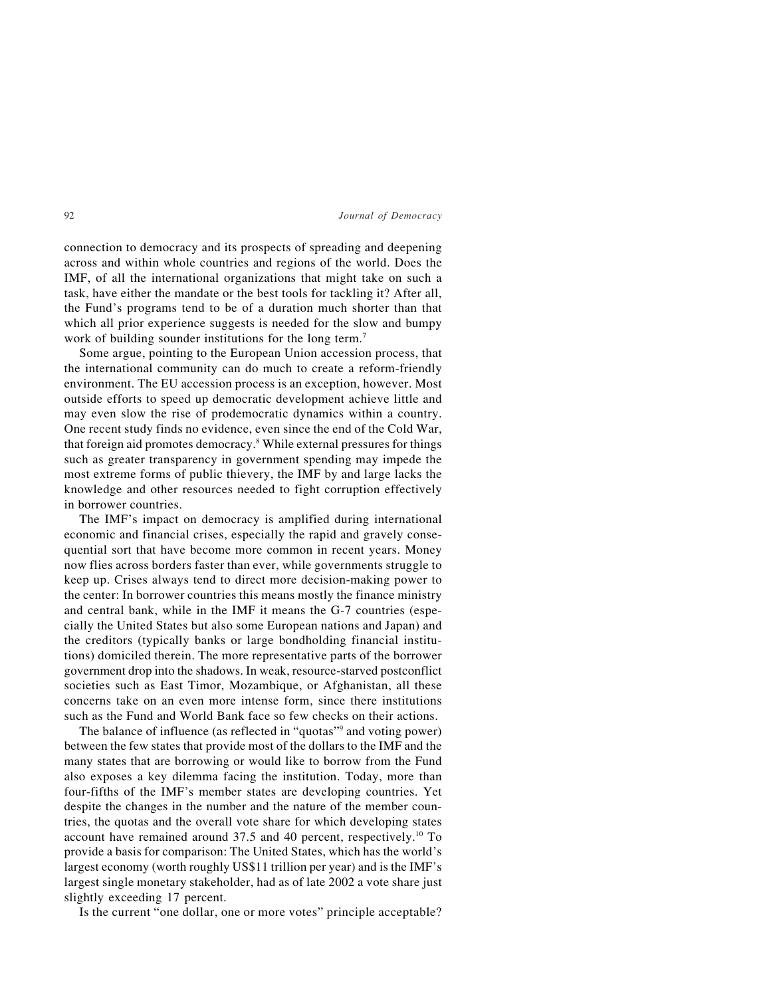connection to democracy and its prospects of spreading and deepening across and within whole countries and regions of the world. Does the IMF, of all the international organizations that might take on such a task, have either the mandate or the best tools for tackling it? After all, the Fund's programs tend to be of a duration much shorter than that which all prior experience suggests is needed for the slow and bumpy work of building sounder institutions for the long term.<sup>7</sup>

Some argue, pointing to the European Union accession process, that the international community can do much to create a reform-friendly environment. The EU accession process is an exception, however. Most outside efforts to speed up democratic development achieve little and may even slow the rise of prodemocratic dynamics within a country. One recent study finds no evidence, even since the end of the Cold War, that foreign aid promotes democracy.8 While external pressures for things such as greater transparency in government spending may impede the most extreme forms of public thievery, the IMF by and large lacks the knowledge and other resources needed to fight corruption effectively in borrower countries.

The IMF's impact on democracy is amplified during international economic and financial crises, especially the rapid and gravely consequential sort that have become more common in recent years. Money now flies across borders faster than ever, while governments struggle to keep up. Crises always tend to direct more decision-making power to the center: In borrower countries this means mostly the finance ministry and central bank, while in the IMF it means the G-7 countries (especially the United States but also some European nations and Japan) and the creditors (typically banks or large bondholding financial institutions) domiciled therein. The more representative parts of the borrower government drop into the shadows. In weak, resource-starved postconflict societies such as East Timor, Mozambique, or Afghanistan, all these concerns take on an even more intense form, since there institutions such as the Fund and World Bank face so few checks on their actions.

The balance of influence (as reflected in "quotas"<sup>9</sup> and voting power) between the few states that provide most of the dollars to the IMF and the many states that are borrowing or would like to borrow from the Fund also exposes a key dilemma facing the institution. Today, more than four-fifths of the IMF's member states are developing countries. Yet despite the changes in the number and the nature of the member countries, the quotas and the overall vote share for which developing states account have remained around 37.5 and 40 percent, respectively.10 To provide a basis for comparison: The United States, which has the world's largest economy (worth roughly US\$11 trillion per year) and is the IMF's largest single monetary stakeholder, had as of late 2002 a vote share just slightly exceeding 17 percent.

Is the current "one dollar, one or more votes" principle acceptable?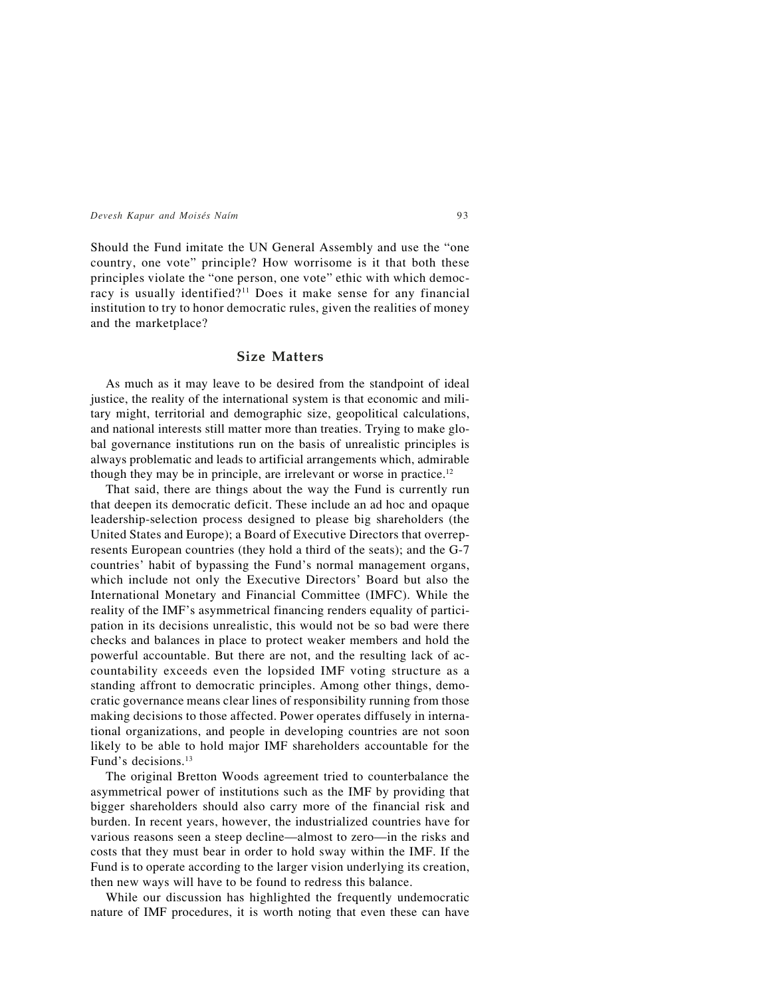Should the Fund imitate the UN General Assembly and use the "one country, one vote" principle? How worrisome is it that both these principles violate the "one person, one vote" ethic with which democracy is usually identified?11 Does it make sense for any financial institution to try to honor democratic rules, given the realities of money and the marketplace?

#### **Size Matters**

As much as it may leave to be desired from the standpoint of ideal justice, the reality of the international system is that economic and military might, territorial and demographic size, geopolitical calculations, and national interests still matter more than treaties. Trying to make global governance institutions run on the basis of unrealistic principles is always problematic and leads to artificial arrangements which, admirable though they may be in principle, are irrelevant or worse in practice.12

That said, there are things about the way the Fund is currently run that deepen its democratic deficit. These include an ad hoc and opaque leadership-selection process designed to please big shareholders (the United States and Europe); a Board of Executive Directors that overrepresents European countries (they hold a third of the seats); and the G-7 countries' habit of bypassing the Fund's normal management organs, which include not only the Executive Directors' Board but also the International Monetary and Financial Committee (IMFC). While the reality of the IMF's asymmetrical financing renders equality of participation in its decisions unrealistic, this would not be so bad were there checks and balances in place to protect weaker members and hold the powerful accountable. But there are not, and the resulting lack of accountability exceeds even the lopsided IMF voting structure as a standing affront to democratic principles. Among other things, democratic governance means clear lines of responsibility running from those making decisions to those affected. Power operates diffusely in international organizations, and people in developing countries are not soon likely to be able to hold major IMF shareholders accountable for the Fund's decisions.13

The original Bretton Woods agreement tried to counterbalance the asymmetrical power of institutions such as the IMF by providing that bigger shareholders should also carry more of the financial risk and burden. In recent years, however, the industrialized countries have for various reasons seen a steep decline—almost to zero—in the risks and costs that they must bear in order to hold sway within the IMF. If the Fund is to operate according to the larger vision underlying its creation, then new ways will have to be found to redress this balance.

While our discussion has highlighted the frequently undemocratic nature of IMF procedures, it is worth noting that even these can have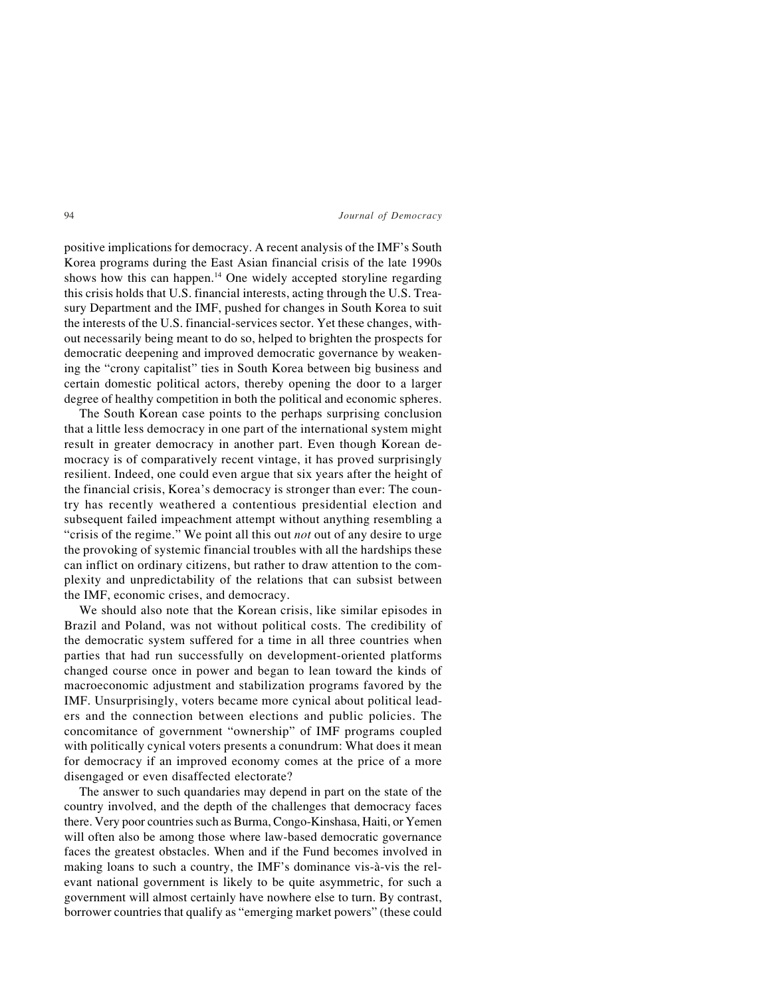positive implications for democracy. A recent analysis of the IMF's South Korea programs during the East Asian financial crisis of the late 1990s shows how this can happen.<sup>14</sup> One widely accepted storyline regarding this crisis holds that U.S. financial interests, acting through the U.S. Treasury Department and the IMF, pushed for changes in South Korea to suit the interests of the U.S. financial-services sector. Yet these changes, without necessarily being meant to do so, helped to brighten the prospects for democratic deepening and improved democratic governance by weakening the "crony capitalist" ties in South Korea between big business and certain domestic political actors, thereby opening the door to a larger degree of healthy competition in both the political and economic spheres.

The South Korean case points to the perhaps surprising conclusion that a little less democracy in one part of the international system might result in greater democracy in another part. Even though Korean democracy is of comparatively recent vintage, it has proved surprisingly resilient. Indeed, one could even argue that six years after the height of the financial crisis, Korea's democracy is stronger than ever: The country has recently weathered a contentious presidential election and subsequent failed impeachment attempt without anything resembling a "crisis of the regime." We point all this out *not* out of any desire to urge the provoking of systemic financial troubles with all the hardships these can inflict on ordinary citizens, but rather to draw attention to the complexity and unpredictability of the relations that can subsist between the IMF, economic crises, and democracy.

We should also note that the Korean crisis, like similar episodes in Brazil and Poland, was not without political costs. The credibility of the democratic system suffered for a time in all three countries when parties that had run successfully on development-oriented platforms changed course once in power and began to lean toward the kinds of macroeconomic adjustment and stabilization programs favored by the IMF. Unsurprisingly, voters became more cynical about political leaders and the connection between elections and public policies. The concomitance of government "ownership" of IMF programs coupled with politically cynical voters presents a conundrum: What does it mean for democracy if an improved economy comes at the price of a more disengaged or even disaffected electorate?

The answer to such quandaries may depend in part on the state of the country involved, and the depth of the challenges that democracy faces there. Very poor countries such as Burma, Congo-Kinshasa, Haiti, or Yemen will often also be among those where law-based democratic governance faces the greatest obstacles. When and if the Fund becomes involved in making loans to such a country, the IMF's dominance vis-à-vis the relevant national government is likely to be quite asymmetric, for such a government will almost certainly have nowhere else to turn. By contrast, borrower countries that qualify as "emerging market powers" (these could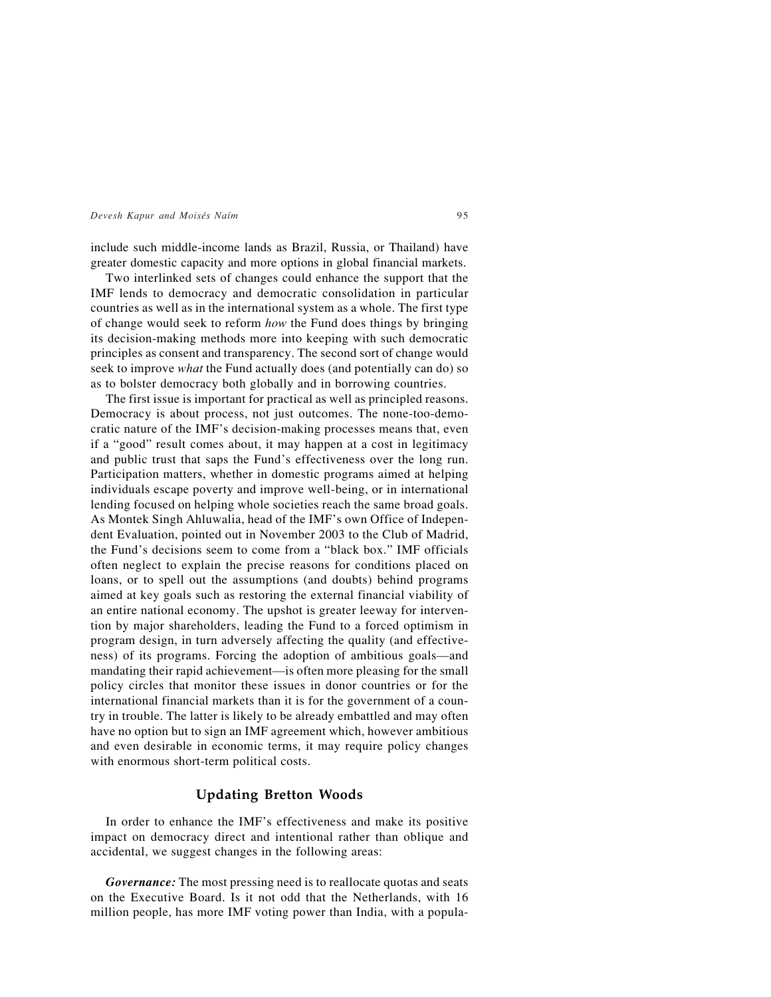include such middle-income lands as Brazil, Russia, or Thailand) have greater domestic capacity and more options in global financial markets.

Two interlinked sets of changes could enhance the support that the IMF lends to democracy and democratic consolidation in particular countries as well as in the international system as a whole. The first type of change would seek to reform *how* the Fund does things by bringing its decision-making methods more into keeping with such democratic principles as consent and transparency. The second sort of change would seek to improve *what* the Fund actually does (and potentially can do) so as to bolster democracy both globally and in borrowing countries.

The first issue is important for practical as well as principled reasons. Democracy is about process, not just outcomes. The none-too-democratic nature of the IMF's decision-making processes means that, even if a "good" result comes about, it may happen at a cost in legitimacy and public trust that saps the Fund's effectiveness over the long run. Participation matters, whether in domestic programs aimed at helping individuals escape poverty and improve well-being, or in international lending focused on helping whole societies reach the same broad goals. As Montek Singh Ahluwalia, head of the IMF's own Office of Independent Evaluation, pointed out in November 2003 to the Club of Madrid, the Fund's decisions seem to come from a "black box." IMF officials often neglect to explain the precise reasons for conditions placed on loans, or to spell out the assumptions (and doubts) behind programs aimed at key goals such as restoring the external financial viability of an entire national economy. The upshot is greater leeway for intervention by major shareholders, leading the Fund to a forced optimism in program design, in turn adversely affecting the quality (and effectiveness) of its programs. Forcing the adoption of ambitious goals—and mandating their rapid achievement—is often more pleasing for the small policy circles that monitor these issues in donor countries or for the international financial markets than it is for the government of a country in trouble. The latter is likely to be already embattled and may often have no option but to sign an IMF agreement which, however ambitious and even desirable in economic terms, it may require policy changes with enormous short-term political costs.

### **Updating Bretton Woods**

In order to enhance the IMF's effectiveness and make its positive impact on democracy direct and intentional rather than oblique and accidental, we suggest changes in the following areas:

*Governance:* The most pressing need is to reallocate quotas and seats on the Executive Board. Is it not odd that the Netherlands, with 16 million people, has more IMF voting power than India, with a popula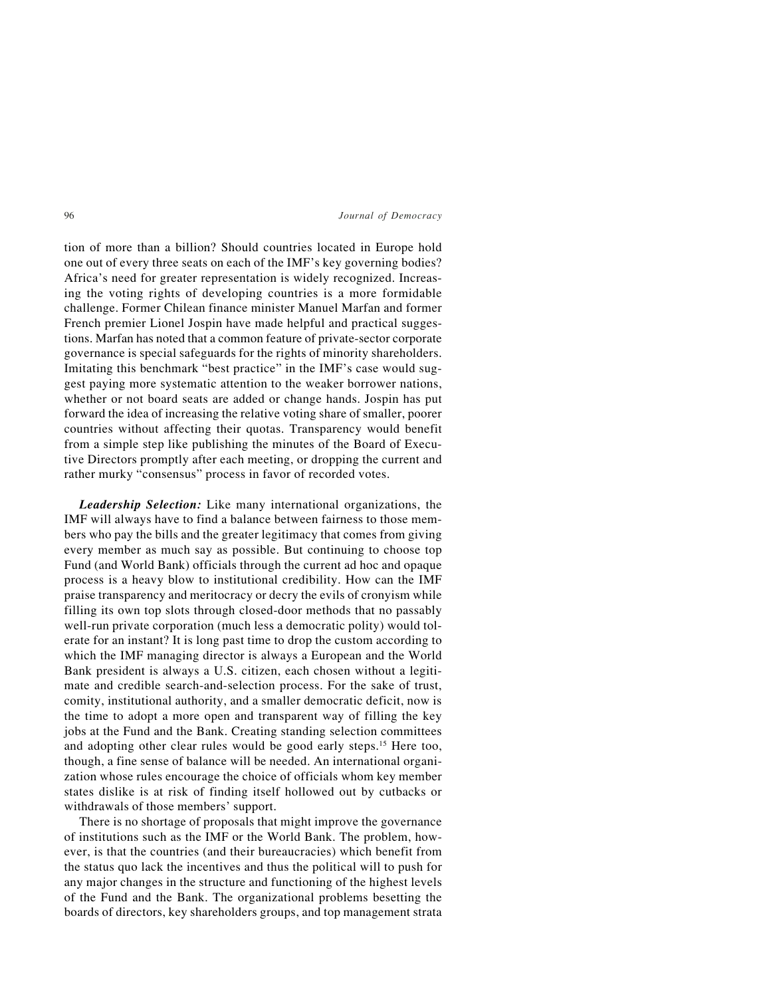tion of more than a billion? Should countries located in Europe hold one out of every three seats on each of the IMF's key governing bodies? Africa's need for greater representation is widely recognized. Increasing the voting rights of developing countries is a more formidable challenge. Former Chilean finance minister Manuel Marfan and former French premier Lionel Jospin have made helpful and practical suggestions. Marfan has noted that a common feature of private-sector corporate governance is special safeguards for the rights of minority shareholders. Imitating this benchmark "best practice" in the IMF's case would suggest paying more systematic attention to the weaker borrower nations, whether or not board seats are added or change hands. Jospin has put forward the idea of increasing the relative voting share of smaller, poorer countries without affecting their quotas. Transparency would benefit from a simple step like publishing the minutes of the Board of Executive Directors promptly after each meeting, or dropping the current and rather murky "consensus" process in favor of recorded votes.

*Leadership Selection:* Like many international organizations, the IMF will always have to find a balance between fairness to those members who pay the bills and the greater legitimacy that comes from giving every member as much say as possible. But continuing to choose top Fund (and World Bank) officials through the current ad hoc and opaque process is a heavy blow to institutional credibility. How can the IMF praise transparency and meritocracy or decry the evils of cronyism while filling its own top slots through closed-door methods that no passably well-run private corporation (much less a democratic polity) would tolerate for an instant? It is long past time to drop the custom according to which the IMF managing director is always a European and the World Bank president is always a U.S. citizen, each chosen without a legitimate and credible search-and-selection process. For the sake of trust, comity, institutional authority, and a smaller democratic deficit, now is the time to adopt a more open and transparent way of filling the key jobs at the Fund and the Bank. Creating standing selection committees and adopting other clear rules would be good early steps.15 Here too, though, a fine sense of balance will be needed. An international organization whose rules encourage the choice of officials whom key member states dislike is at risk of finding itself hollowed out by cutbacks or withdrawals of those members' support.

There is no shortage of proposals that might improve the governance of institutions such as the IMF or the World Bank. The problem, however, is that the countries (and their bureaucracies) which benefit from the status quo lack the incentives and thus the political will to push for any major changes in the structure and functioning of the highest levels of the Fund and the Bank. The organizational problems besetting the boards of directors, key shareholders groups, and top management strata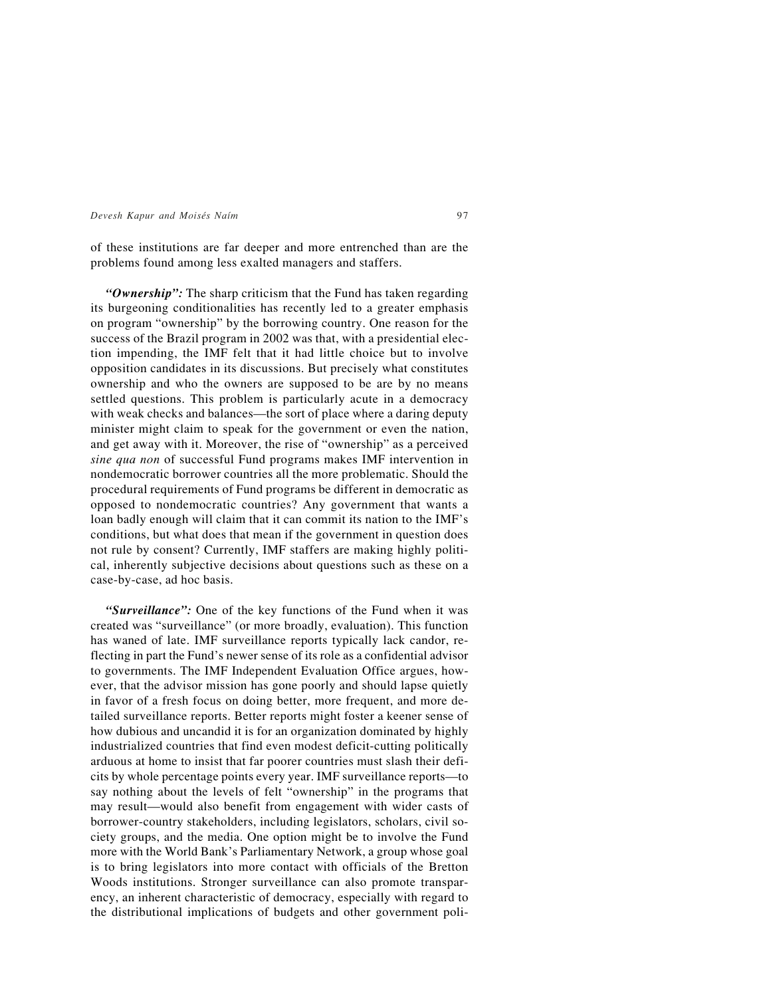of these institutions are far deeper and more entrenched than are the problems found among less exalted managers and staffers.

*"Ownership":* The sharp criticism that the Fund has taken regarding its burgeoning conditionalities has recently led to a greater emphasis on program "ownership" by the borrowing country. One reason for the success of the Brazil program in 2002 was that, with a presidential election impending, the IMF felt that it had little choice but to involve opposition candidates in its discussions. But precisely what constitutes ownership and who the owners are supposed to be are by no means settled questions. This problem is particularly acute in a democracy with weak checks and balances—the sort of place where a daring deputy minister might claim to speak for the government or even the nation, and get away with it. Moreover, the rise of "ownership" as a perceived *sine qua non* of successful Fund programs makes IMF intervention in nondemocratic borrower countries all the more problematic. Should the procedural requirements of Fund programs be different in democratic as opposed to nondemocratic countries? Any government that wants a loan badly enough will claim that it can commit its nation to the IMF's conditions, but what does that mean if the government in question does not rule by consent? Currently, IMF staffers are making highly political, inherently subjective decisions about questions such as these on a case-by-case, ad hoc basis.

*"Surveillance":* One of the key functions of the Fund when it was created was "surveillance" (or more broadly, evaluation). This function has waned of late. IMF surveillance reports typically lack candor, reflecting in part the Fund's newer sense of its role as a confidential advisor to governments. The IMF Independent Evaluation Office argues, however, that the advisor mission has gone poorly and should lapse quietly in favor of a fresh focus on doing better, more frequent, and more detailed surveillance reports. Better reports might foster a keener sense of how dubious and uncandid it is for an organization dominated by highly industrialized countries that find even modest deficit-cutting politically arduous at home to insist that far poorer countries must slash their deficits by whole percentage points every year. IMF surveillance reports—to say nothing about the levels of felt "ownership" in the programs that may result—would also benefit from engagement with wider casts of borrower-country stakeholders, including legislators, scholars, civil society groups, and the media. One option might be to involve the Fund more with the World Bank's Parliamentary Network, a group whose goal is to bring legislators into more contact with officials of the Bretton Woods institutions. Stronger surveillance can also promote transparency, an inherent characteristic of democracy, especially with regard to the distributional implications of budgets and other government poli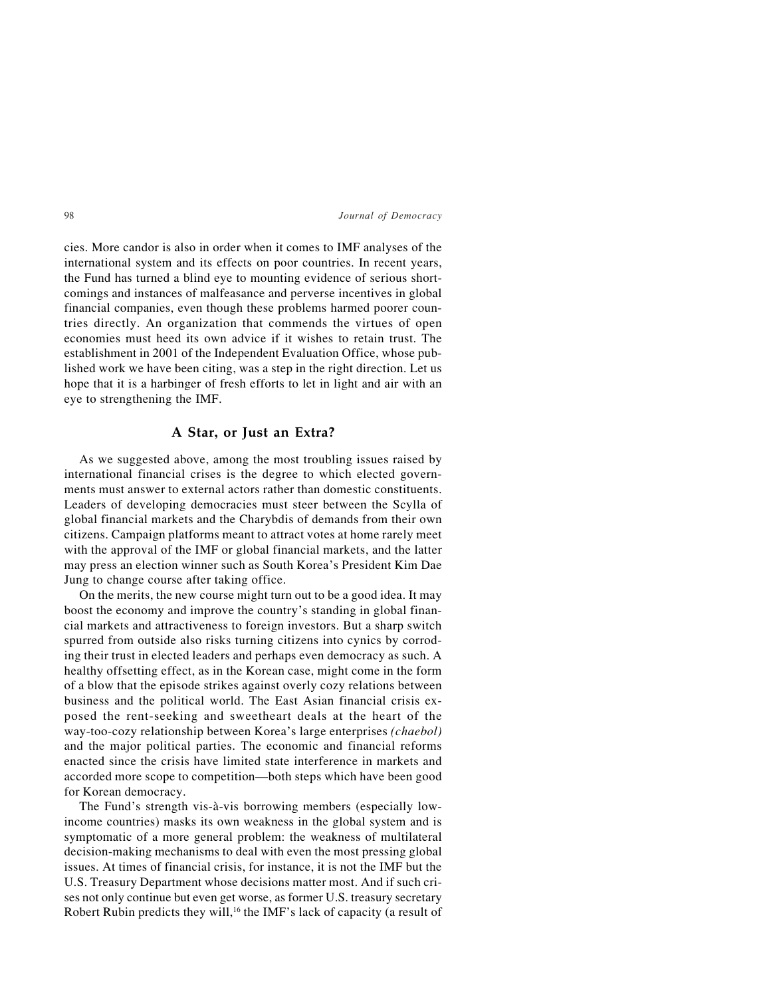cies. More candor is also in order when it comes to IMF analyses of the international system and its effects on poor countries. In recent years, the Fund has turned a blind eye to mounting evidence of serious shortcomings and instances of malfeasance and perverse incentives in global financial companies, even though these problems harmed poorer countries directly. An organization that commends the virtues of open economies must heed its own advice if it wishes to retain trust. The establishment in 2001 of the Independent Evaluation Office, whose published work we have been citing, was a step in the right direction. Let us hope that it is a harbinger of fresh efforts to let in light and air with an eye to strengthening the IMF.

## **A Star, or Just an Extra?**

As we suggested above, among the most troubling issues raised by international financial crises is the degree to which elected governments must answer to external actors rather than domestic constituents. Leaders of developing democracies must steer between the Scylla of global financial markets and the Charybdis of demands from their own citizens. Campaign platforms meant to attract votes at home rarely meet with the approval of the IMF or global financial markets, and the latter may press an election winner such as South Korea's President Kim Dae Jung to change course after taking office.

On the merits, the new course might turn out to be a good idea. It may boost the economy and improve the country's standing in global financial markets and attractiveness to foreign investors. But a sharp switch spurred from outside also risks turning citizens into cynics by corroding their trust in elected leaders and perhaps even democracy as such. A healthy offsetting effect, as in the Korean case, might come in the form of a blow that the episode strikes against overly cozy relations between business and the political world. The East Asian financial crisis exposed the rent-seeking and sweetheart deals at the heart of the way-too-cozy relationship between Korea's large enterprises *(chaebol)* and the major political parties. The economic and financial reforms enacted since the crisis have limited state interference in markets and accorded more scope to competition—both steps which have been good for Korean democracy.

The Fund's strength vis-à-vis borrowing members (especially lowincome countries) masks its own weakness in the global system and is symptomatic of a more general problem: the weakness of multilateral decision-making mechanisms to deal with even the most pressing global issues. At times of financial crisis, for instance, it is not the IMF but the U.S. Treasury Department whose decisions matter most. And if such crises not only continue but even get worse, as former U.S. treasury secretary Robert Rubin predicts they will,<sup>16</sup> the IMF's lack of capacity (a result of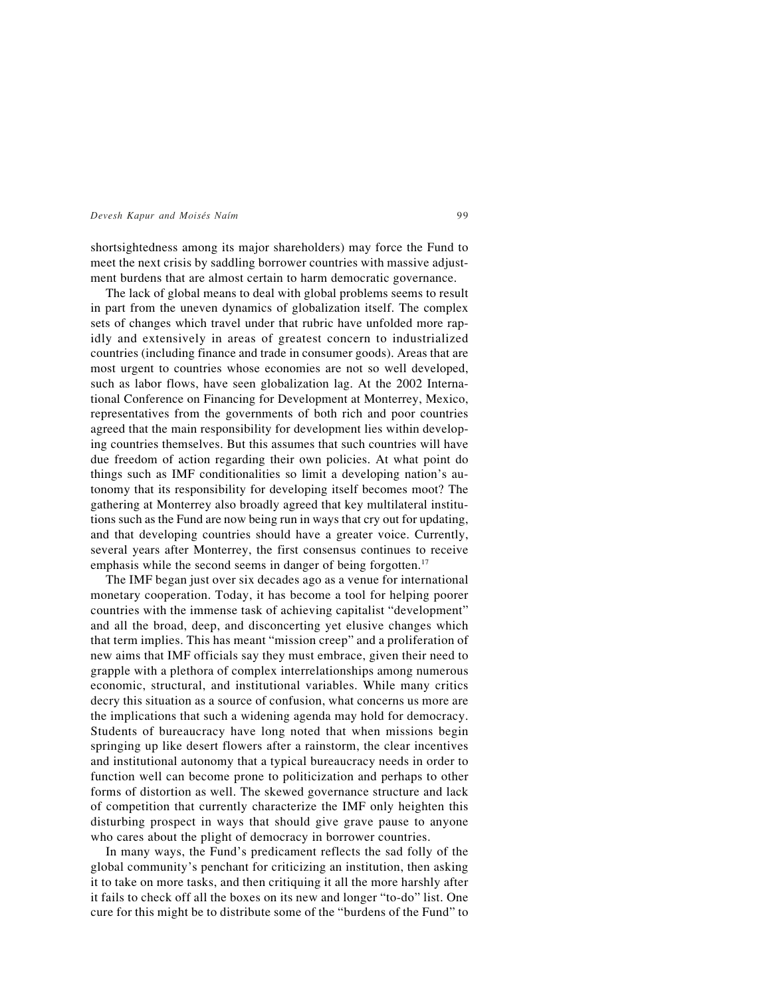shortsightedness among its major shareholders) may force the Fund to meet the next crisis by saddling borrower countries with massive adjustment burdens that are almost certain to harm democratic governance.

The lack of global means to deal with global problems seems to result in part from the uneven dynamics of globalization itself. The complex sets of changes which travel under that rubric have unfolded more rapidly and extensively in areas of greatest concern to industrialized countries (including finance and trade in consumer goods). Areas that are most urgent to countries whose economies are not so well developed, such as labor flows, have seen globalization lag. At the 2002 International Conference on Financing for Development at Monterrey, Mexico, representatives from the governments of both rich and poor countries agreed that the main responsibility for development lies within developing countries themselves. But this assumes that such countries will have due freedom of action regarding their own policies. At what point do things such as IMF conditionalities so limit a developing nation's autonomy that its responsibility for developing itself becomes moot? The gathering at Monterrey also broadly agreed that key multilateral institutions such as the Fund are now being run in ways that cry out for updating, and that developing countries should have a greater voice. Currently, several years after Monterrey, the first consensus continues to receive emphasis while the second seems in danger of being forgotten.<sup>17</sup>

The IMF began just over six decades ago as a venue for international monetary cooperation. Today, it has become a tool for helping poorer countries with the immense task of achieving capitalist "development" and all the broad, deep, and disconcerting yet elusive changes which that term implies. This has meant "mission creep" and a proliferation of new aims that IMF officials say they must embrace, given their need to grapple with a plethora of complex interrelationships among numerous economic, structural, and institutional variables. While many critics decry this situation as a source of confusion, what concerns us more are the implications that such a widening agenda may hold for democracy. Students of bureaucracy have long noted that when missions begin springing up like desert flowers after a rainstorm, the clear incentives and institutional autonomy that a typical bureaucracy needs in order to function well can become prone to politicization and perhaps to other forms of distortion as well. The skewed governance structure and lack of competition that currently characterize the IMF only heighten this disturbing prospect in ways that should give grave pause to anyone who cares about the plight of democracy in borrower countries.

In many ways, the Fund's predicament reflects the sad folly of the global community's penchant for criticizing an institution, then asking it to take on more tasks, and then critiquing it all the more harshly after it fails to check off all the boxes on its new and longer "to-do" list. One cure for this might be to distribute some of the "burdens of the Fund" to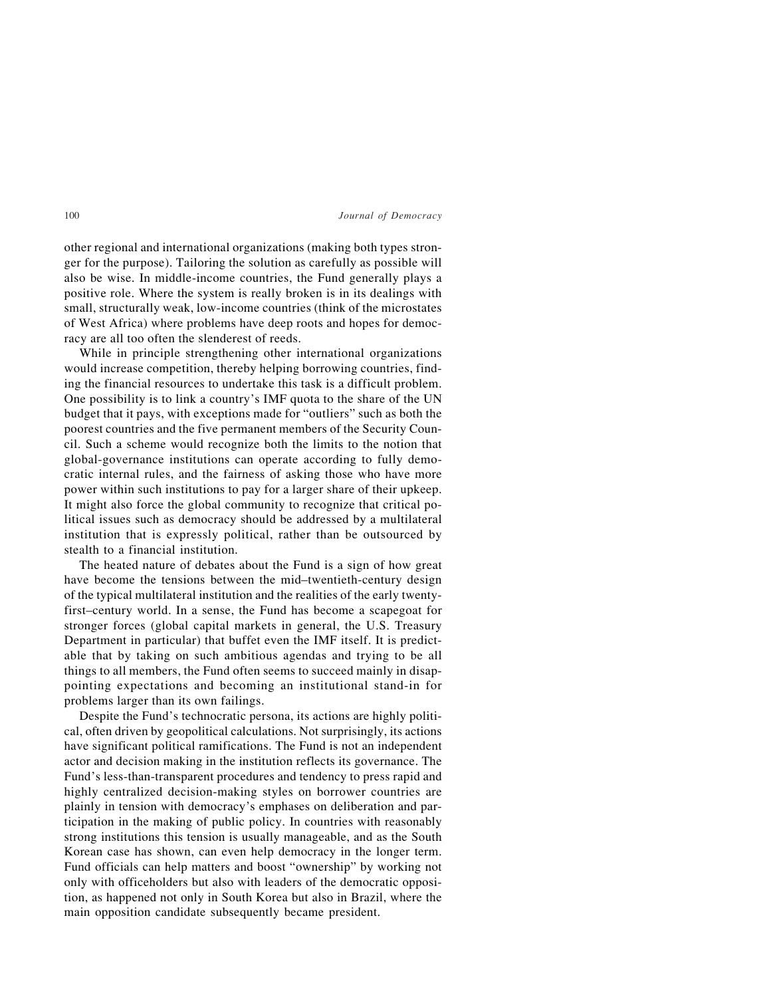other regional and international organizations (making both types stronger for the purpose). Tailoring the solution as carefully as possible will also be wise. In middle-income countries, the Fund generally plays a positive role. Where the system is really broken is in its dealings with small, structurally weak, low-income countries (think of the microstates of West Africa) where problems have deep roots and hopes for democracy are all too often the slenderest of reeds.

While in principle strengthening other international organizations would increase competition, thereby helping borrowing countries, finding the financial resources to undertake this task is a difficult problem. One possibility is to link a country's IMF quota to the share of the UN budget that it pays, with exceptions made for "outliers" such as both the poorest countries and the five permanent members of the Security Council. Such a scheme would recognize both the limits to the notion that global-governance institutions can operate according to fully democratic internal rules, and the fairness of asking those who have more power within such institutions to pay for a larger share of their upkeep. It might also force the global community to recognize that critical political issues such as democracy should be addressed by a multilateral institution that is expressly political, rather than be outsourced by stealth to a financial institution.

The heated nature of debates about the Fund is a sign of how great have become the tensions between the mid–twentieth-century design of the typical multilateral institution and the realities of the early twentyfirst–century world. In a sense, the Fund has become a scapegoat for stronger forces (global capital markets in general, the U.S. Treasury Department in particular) that buffet even the IMF itself. It is predictable that by taking on such ambitious agendas and trying to be all things to all members, the Fund often seems to succeed mainly in disappointing expectations and becoming an institutional stand-in for problems larger than its own failings.

Despite the Fund's technocratic persona, its actions are highly political, often driven by geopolitical calculations. Not surprisingly, its actions have significant political ramifications. The Fund is not an independent actor and decision making in the institution reflects its governance. The Fund's less-than-transparent procedures and tendency to press rapid and highly centralized decision-making styles on borrower countries are plainly in tension with democracy's emphases on deliberation and participation in the making of public policy. In countries with reasonably strong institutions this tension is usually manageable, and as the South Korean case has shown, can even help democracy in the longer term. Fund officials can help matters and boost "ownership" by working not only with officeholders but also with leaders of the democratic opposition, as happened not only in South Korea but also in Brazil, where the main opposition candidate subsequently became president.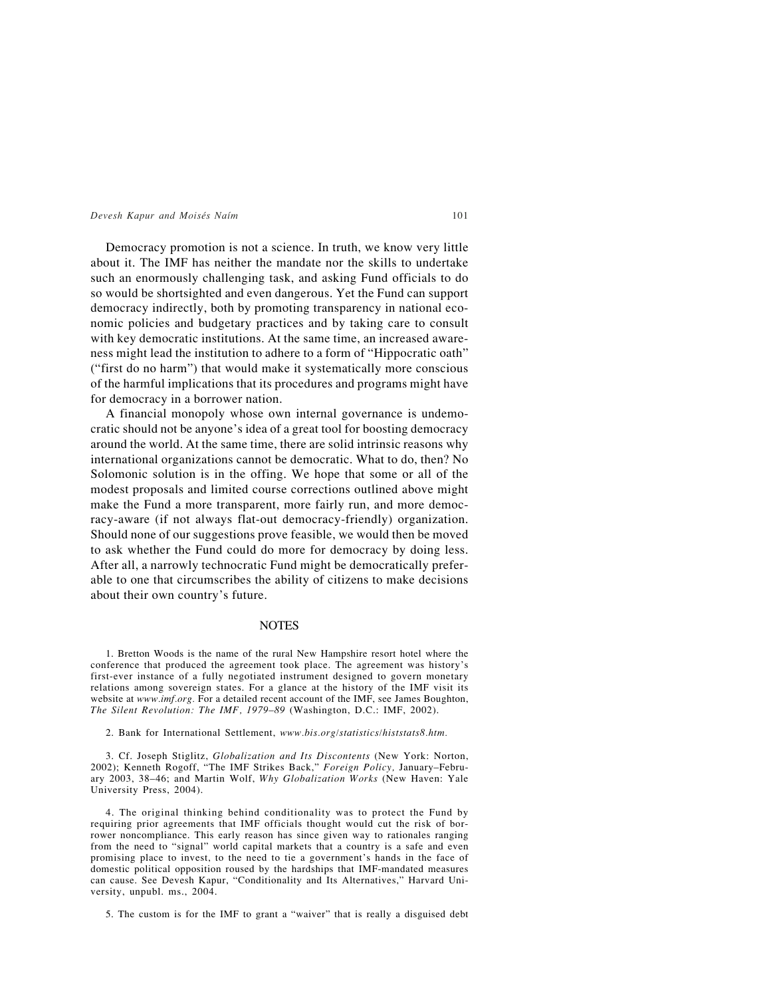Democracy promotion is not a science. In truth, we know very little about it. The IMF has neither the mandate nor the skills to undertake such an enormously challenging task, and asking Fund officials to do so would be shortsighted and even dangerous. Yet the Fund can support democracy indirectly, both by promoting transparency in national economic policies and budgetary practices and by taking care to consult with key democratic institutions. At the same time, an increased awareness might lead the institution to adhere to a form of "Hippocratic oath" ("first do no harm") that would make it systematically more conscious of the harmful implications that its procedures and programs might have for democracy in a borrower nation.

A financial monopoly whose own internal governance is undemocratic should not be anyone's idea of a great tool for boosting democracy around the world. At the same time, there are solid intrinsic reasons why international organizations cannot be democratic. What to do, then? No Solomonic solution is in the offing. We hope that some or all of the modest proposals and limited course corrections outlined above might make the Fund a more transparent, more fairly run, and more democracy-aware (if not always flat-out democracy-friendly) organization. Should none of our suggestions prove feasible, we would then be moved to ask whether the Fund could do more for democracy by doing less. After all, a narrowly technocratic Fund might be democratically preferable to one that circumscribes the ability of citizens to make decisions about their own country's future.

#### **NOTES**

1. Bretton Woods is the name of the rural New Hampshire resort hotel where the conference that produced the agreement took place. The agreement was history's first-ever instance of a fully negotiated instrument designed to govern monetary relations among sovereign states. For a glance at the history of the IMF visit its website at *www.imf.org.* For a detailed recent account of the IMF, see James Boughton, *The Silent Revolution: The IMF, 1979–89* (Washington, D.C.: IMF, 2002).

2. Bank for International Settlement, *www.bis.org/statistics/histstats8.htm.*

3. Cf. Joseph Stiglitz, *Globalization and Its Discontents* (New York: Norton, 2002); Kenneth Rogoff, "The IMF Strikes Back," *Foreign Policy,* January–February 2003, 38–46; and Martin Wolf, *Why Globalization Works* (New Haven: Yale University Press, 2004).

4. The original thinking behind conditionality was to protect the Fund by requiring prior agreements that IMF officials thought would cut the risk of borrower noncompliance. This early reason has since given way to rationales ranging from the need to "signal" world capital markets that a country is a safe and even promising place to invest, to the need to tie a government's hands in the face of domestic political opposition roused by the hardships that IMF-mandated measures can cause. See Devesh Kapur, "Conditionality and Its Alternatives," Harvard University, unpubl. ms., 2004.

5. The custom is for the IMF to grant a "waiver" that is really a disguised debt